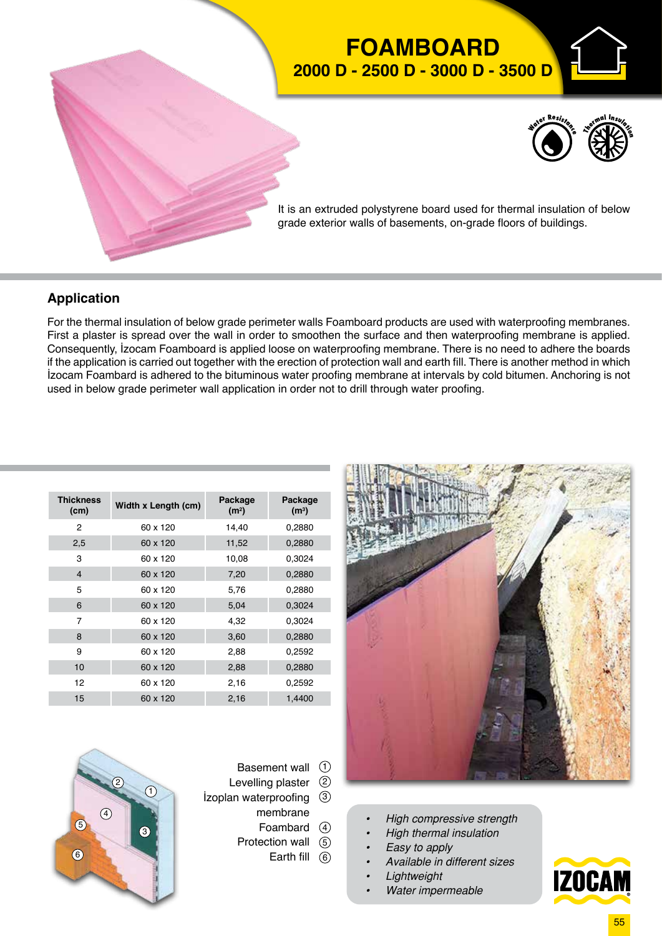

## **Application**

For the thermal insulation of below grade perimeter walls Foamboard products are used with waterproofing membranes. First a plaster is spread over the wall in order to smoothen the surface and then waterproofing membrane is applied. Consequently, İzocam Foamboard is applied loose on waterproofing membrane. There is no need to adhere the boards if the application is carried out together with the erection of protection wall and earth fill. There is another method in which İzocam Foambard is adhered to the bituminous water proofing membrane at intervals by cold bitumen. Anchoring is not used in below grade perimeter wall application in order not to drill through water proofing.

|  | <b>Thickness</b><br>(cm) | Width x Length (cm) | Package<br>(m <sup>2</sup> ) | Package<br>(m <sup>3</sup> ) |
|--|--------------------------|---------------------|------------------------------|------------------------------|
|  | 2                        | 60 x 120            | 14,40                        | 0,2880                       |
|  | 2,5                      | 60 x 120            | 11,52                        | 0,2880                       |
|  | 3                        | 60 x 120            | 10,08                        | 0,3024                       |
|  | $\overline{4}$           | 60 x 120            | 7,20                         | 0,2880                       |
|  | 5                        | 60 x 120            | 5,76                         | 0,2880                       |
|  | 6                        | 60 x 120            | 5,04                         | 0,3024                       |
|  | 7                        | 60 x 120            | 4,32                         | 0,3024                       |
|  | 8                        | 60 x 120            | 3,60                         | 0,2880                       |
|  | 9                        | 60 x 120            | 2,88                         | 0,2592                       |
|  | 10                       | 60 x 120            | 2,88                         | 0,2880                       |
|  | 12                       | 60 x 120            | 2,16                         | 0,2592                       |
|  | 15                       | 60 x 120            | 2,16                         | 1,4400                       |
|  |                          |                     |                              |                              |



- Basement wall  $\odot$
- Levelling plaster 2 İzoplan waterproofing  $\circled{3}$ 
	- membrane
	- Foambard 4 Protection wall 5
		- Earth fill  $(6)$



- *• High compressive strength*
- *• High thermal insulation*
- *• Easy to apply*
- *• Available in different sizes*
- *• Lightweight*
- *• Water impermeable*